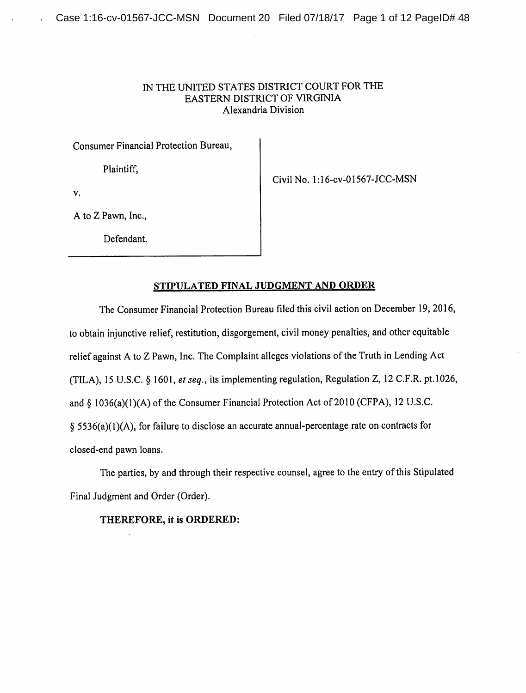# IN THE UNITED STATES DISTRICT COURT FOR THE EASTERN DISTRICT OF VIRGINIA Alexandria Division

Consumer Financial Protection Bureau,

Plaintiff,

Civil No. l:16-cv-01567-JCC-MSN

v.

A to Z Pawn, Inc.,

Defendant.

## *STIPULATED FINAL JUDGMENT AND ORDER*

The Consumer Financial Protection Bureau filed this civil action on December 19, 2016, to obtain injunctive relief, restitution, disgorgement, civil money penalties, and other equitable relief against A to Z Pawn, Inc. The Complaint alleges violations of the Truth in Lending Act (TILA), 15 U.S.C. § 1601, et seq., its implementing regulation, Regulation Z, 12 C.F.R. pt.1026, and  $§$  1036(a)(1)(A) of the Consumer Financial Protection Act of 2010 (CFPA), 12 U.S.C.  $§$  5536(a)(1)(A), for failure to disclose an accurate annual-percentage rate on contracts for closed-end pawn loans.

The parties, by and through their respective counsel, agree to the entry of this Stipulated Final Judgment and Order (Order).

# *THEREFORE, it is ORDERED:*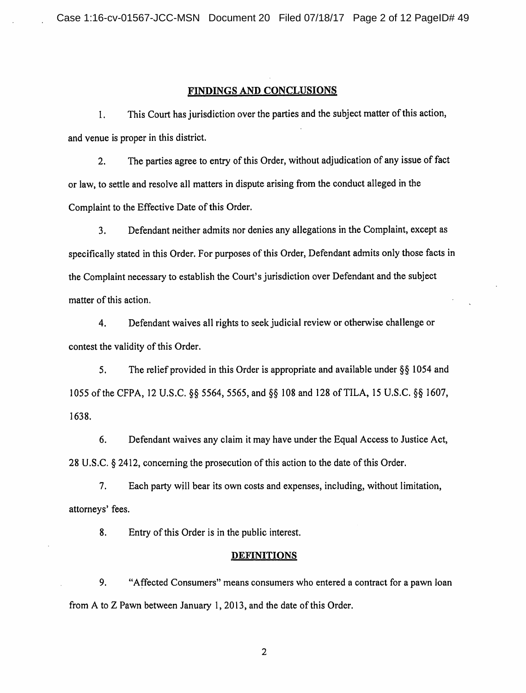## FINDINGS AND CONCLUSIONS

This Court has jurisdiction over the parties and the subject matter of this action,  $\mathbf{1}$ . and venue is proper in this district.

The parties agree to entry of this Order, without adjudication of any issue of fact  $2.$ or law, to settle and resolve all matters in dispute arising from the conduct alleged in the Complaint to the Effective Date of this Order.

 $3.$ Defendant neither admits nor denies any allegations in the Complaint, except as specifically stated in this Order. For purposes of this Order, Defendant admits only those facts in the Complaint necessary to establish the Court's jurisdiction over Defendant and the subject matter of this action.

Defendant waives all rights to seek judicial review or otherwise challenge or 4. contest the validity of this Order.

5. The relief provided in this Order is appropriate and available under  $\S\S 1054$  and 1055 of the CFPA, 12 U.S.C. §§ 5564, 5565, and §§ 108 and 128 of TILA, 15 U.S.C. §§ 1607, 1638.

6. Defendant waives any claim it may have under the Equal Access to Justice Act, 28 U.S.C. § 2412, concerning the prosecution of this action to the date of this Order.

 $7.$ Each party will bear its own costs and expenses, including, without limitation, attorneys' fees.

8. Entry of this Order is in the public interest.

### **DEFINITIONS**

9. "Affected Consumers" means consumers who entered a contract for a pawn loan from A to Z Pawn between January 1, 2013, and the date of this Order.

 $\overline{2}$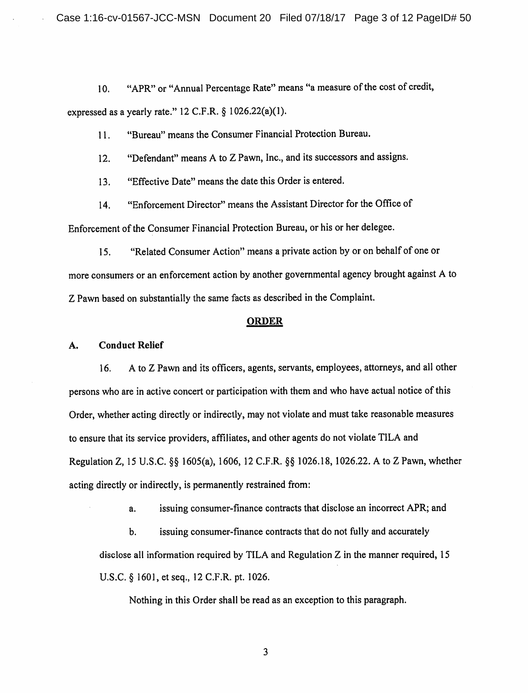"APR" or "Annual Percentage Rate" means "a measure of the cost of credit, 10. expressed as a yearly rate." 12 C.F.R. § 1026.22(a)(1).

"Bureau" means the Consumer Financial Protection Bureau.  $11.$ 

"Defendant" means A to Z Pawn, Inc., and its successors and assigns.  $12.$ 

"Effective Date" means the date this Order is entered.  $13.$ 

"Enforcement Director" means the Assistant Director for the Office of  $14.$ 

Enforcement of the Consumer Financial Protection Bureau, or his or her delegee.

"Related Consumer Action" means a private action by or on behalf of one or  $15.$ more consumers or an enforcement action by another governmental agency brought against A to Z Pawn based on substantially the same facts as described in the Complaint.

### **ORDER**

#### **Conduct Relief** A.

A to Z Pawn and its officers, agents, servants, employees, attorneys, and all other 16. persons who are in active concert or participation with them and who have actual notice of this Order, whether acting directly or indirectly, may not violate and must take reasonable measures to ensure that its service providers, affiliates, and other agents do not violate TILA and Regulation Z, 15 U.S.C. §§ 1605(a), 1606, 12 C.F.R. §§ 1026.18, 1026.22. A to Z Pawn, whether acting directly or indirectly, is permanently restrained from:

> issuing consumer-finance contracts that disclose an incorrect APR; and a.

 $\mathbf b$ . issuing consumer-finance contracts that do not fully and accurately disclose all information required by TILA and Regulation  $Z$  in the manner required, 15 U.S.C. § 1601, et seq., 12 C.F.R. pt. 1026.

Nothing in this Order shall be read as an exception to this paragraph.

 $\overline{\mathbf{3}}$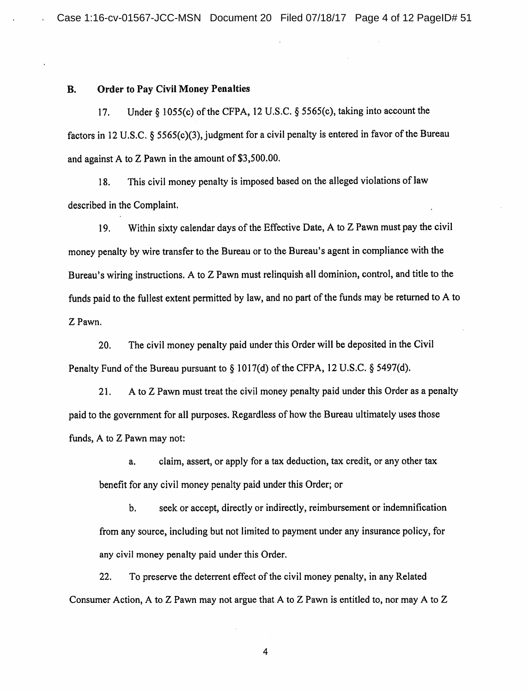#### **Order to Pav Civil Money Penalties B.**

Under  $\S$  1055(c) of the CFPA, 12 U.S.C.  $\S$  5565(c), taking into account the 17. factors in 12 U.S.C. § 5565(c)(3), judgment for a civil penalty is entered in favor of the Bureau and against A to Z Pawn in the amount of \$3,500.00.

This civil money penalty is imposed based on the alleged violations of law  $18.$ described in the Complaint.

Within sixty calendar days of the Effective Date, A to Z Pawn must pay the civil 19. money penalty by wire transfer to the Bureau or to the Bureau's agent in compliance with the Bureau's wiring instructions. A to Z Pawn must relinguish all dominion, control, and title to the funds paid to the fullest extent permitted by law, and no part of the funds may be returned to A to Z Pawn.

The civil money penalty paid under this Order will be deposited in the Civil 20. Penalty Fund of the Bureau pursuant to § 1017(d) of the CFPA, 12 U.S.C. § 5497(d).

 $21.$ A to Z Pawn must treat the civil money penalty paid under this Order as a penalty paid to the government for all purposes. Regardless of how the Bureau ultimately uses those funds, A to Z Pawn may not:

claim, assert, or apply for a tax deduction, tax credit, or any other tax a. benefit for any civil money penalty paid under this Order; or

**.** seek or accept, directly or indirectly, reimbursement or indemnification from any source, including but not limited to payment under any insurance policy, for any civil money penalty paid under this Order.

To preserve the deterrent effect of the civil money penalty, in any Related  $22.$ Consumer Action, A to Z Pawn may not argue that A to Z Pawn is entitled to, nor may A to Z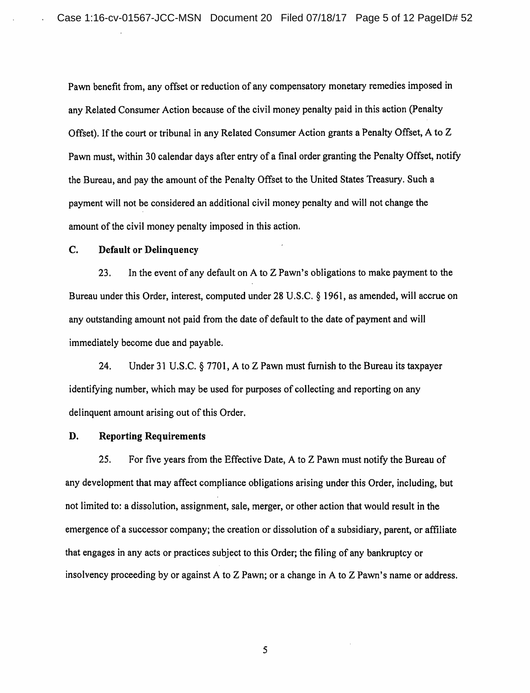Pawn benefit from, any offset or reduction of any compensatory monetary remedies imposed in any Related Consumer Action because of the civil money penalty paid in this action (Penalty Offset). If the court or tribunal in any Related Consumer Action grants a Penalty Offset, A to Z Pawn must, within 30 calendar days after entry of a final order granting the Penalty Offset, notify the Bureau, and pay the amount of the Penalty Offset to the United States Treasury. Such a payment will not be considered an additional civil money penalty and will not change the amount of the civil money penalty imposed in this action.

#### C. **Default or Delinguency**

In the event of any default on A to Z Pawn's obligations to make payment to the 23. Bureau under this Order, interest, computed under 28 U.S.C. § 1961, as amended, will accrue on any outstanding amount not paid from the date of default to the date of payment and will immediately become due and payable.

24. Under 31 U.S.C.  $\S$  7701, A to Z Pawn must furnish to the Bureau its taxpayer identifying number, which may be used for purposes of collecting and reporting on any delinguent amount arising out of this Order.

#### D. **Reporting Requirements**

25. For five years from the Effective Date, A to Z Pawn must notify the Bureau of any development that may affect compliance obligations arising under this Order, including, but not limited to: a dissolution, assignment, sale, merger, or other action that would result in the emergence of a successor company; the creation or dissolution of a subsidiary, parent, or affiliate that engages in any acts or practices subject to this Order; the filing of any bankruptcy or insolvency proceeding by or against A to Z Pawn; or a change in A to Z Pawn's name or address.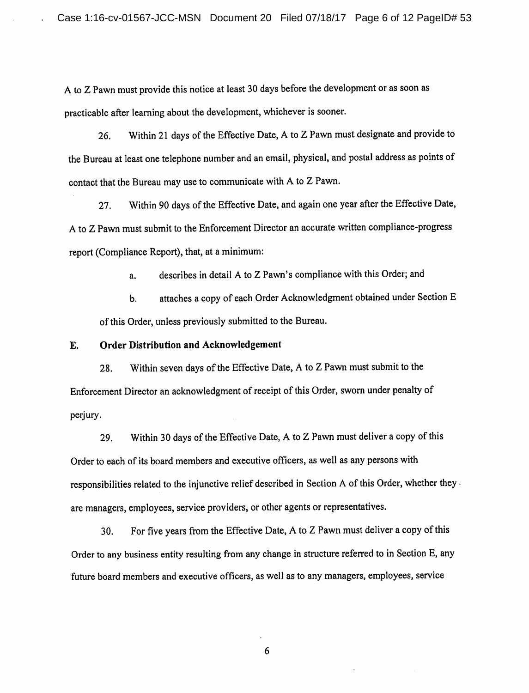A to Z Pawn must provide this notice at least 30 days before the development or as soon as practicable after learning about the development, whichever is sooner.

Within 21 days of the Effective Date, A to Z Pawn must designate and provide to 26. the Bureau at least one telephone number and an email, physical, and postal address as points of contact that the Bureau may use to communicate with A to Z Pawn.

Within 90 days of the Effective Date, and again one year after the Effective Date,  $27.$ A to Z Pawn must submit to the Enforcement Director an accurate written compliance-progress report (Compliance Report), that, at a minimum:

> describes in detail A to Z Pawn's compliance with this Order; and a.

attaches a copy of each Order Acknowledgment obtained under Section E  $<sub>b</sub>$ </sub> of this Order, unless previously submitted to the Bureau.

#### E. **Order Distribution and Acknowledgement**

Within seven days of the Effective Date, A to Z Pawn must submit to the 28. Enforcement Director an acknowledgment of receipt of this Order, sworn under penalty of perjury.

Within 30 days of the Effective Date, A to Z Pawn must deliver a copy of this 29. Order to each of its board members and executive officers, as well as any persons with responsibilities related to the injunctive relief described in Section A of this Order, whether they . are managers, employees, service providers, or other agents or representatives.

For five years from the Effective Date, A to Z Pawn must deliver a copy of this  $30.$ Order to any business entity resulting from any change in structure referred to in Section E, any future board members and executive officers, as well as to any managers, employees, service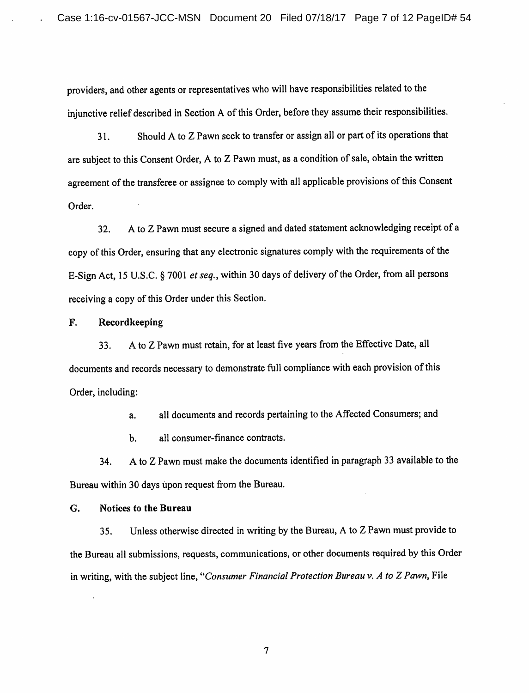providers, and other agents or representatives who will have responsibilities related to the injunctive relief described in Section A of this Order, before they assume their responsibilities.

Should A to Z Pawn seek to transfer or assign all or part of its operations that  $31.$ are subject to this Consent Order, A to Z Pawn must, as a condition of sale, obtain the written agreement of the transferee or assignee to comply with all applicable provisions of this Consent Order.

A to Z Pawn must secure a signed and dated statement acknowledging receipt of a  $32.$ copy of this Order, ensuring that any electronic signatures comply with the requirements of the E-Sign Act, 15 U.S.C. § 7001 et seq., within 30 days of delivery of the Order, from all persons receiving a copy of this Order under this Section.

#### F. Recordkeeping

A to Z Pawn must retain, for at least five years from the Effective Date, all 33. documents and records necessary to demonstrate full compliance with each provision of this Order, including:

> all documents and records pertaining to the Affected Consumers; and a.

all consumer-finance contracts. **.** 

A to Z Pawn must make the documents identified in paragraph 33 available to the 34. Bureau within 30 days upon request from the Bureau.

#### G. **Notices to the Bureau**

Unless otherwise directed in writing by the Bureau, A to Z Pawn must provide to 35. the Bureau all submissions, requests, communications, or other documents required by this Order in writing, with the subject line, "Consumer Financial Protection Bureau  $\nu$ . A to Z Pawn, File

 $\tau$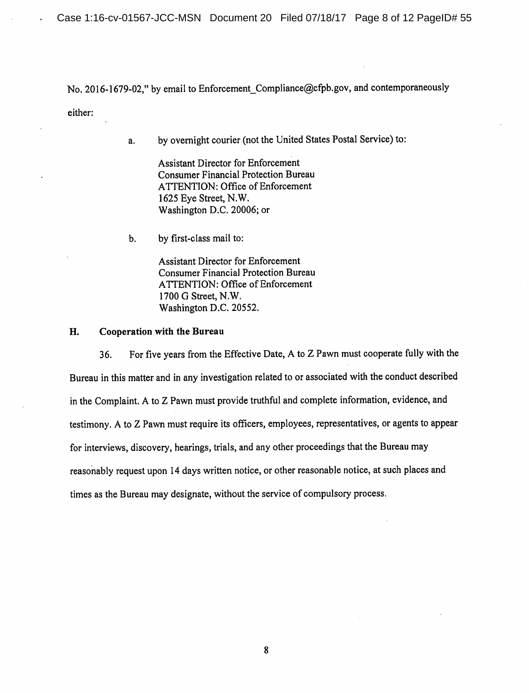No. 2016-1679-02," by email to Enforcement\_Compliance@cfpb.gov, and contemporaneously either:

> by overnight courier (not the United States Postal Service) to: a.

> > **Assistant Director for Enforcement Consumer Financial Protection Bureau** ATTENTION: Office of Enforcement 1625 Eye Street, N.W. Washington D.C. 20006; or

by first-class mail to:  $\mathbf{b}$ .

> **Assistant Director for Enforcement Consumer Financial Protection Bureau ATTENTION: Office of Enforcement** 1700 G Street, N.W. Washington D.C. 20552.

H. Cooperation with the Bureau

For five years from the Effective Date, A to Z Pawn must cooperate fully with the 36. Bureau in this matter and in any investigation related to or associated with the conduct described in the Complaint. A to Z Pawn must provide truthful and complete information, evidence, and testimony. A to Z Pawn must require its officers, employees, representatives, or agents to appear for interviews, discovery, hearings, trials, and any other proceedings that the Bureau may reasonably request upon 14 days written notice, or other reasonable notice, at such places and times as the Bureau may designate, without the service of compulsory process.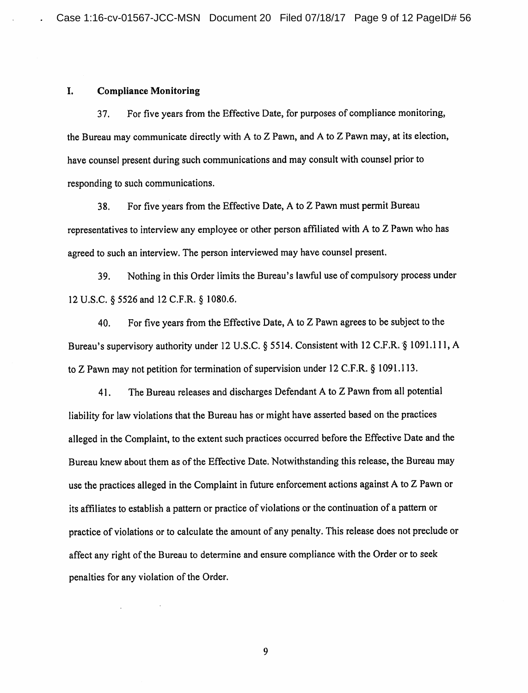#### I. **Compliance Monitoring**

For five years from the Effective Date, for purposes of compliance monitoring, 37. the Bureau may communicate directly with A to Z Pawn, and A to Z Pawn may, at its election, have counsel present during such communications and may consult with counsel prior to responding to such communications.

38. For five years from the Effective Date, A to Z Pawn must permit Bureau representatives to interview any employee or other person affiliated with A to Z Pawn who has agreed to such an interview. The person interviewed may have counsel present.

Nothing in this Order limits the Bureau's lawful use of compulsory process under 39. 12 U.S.C. § 5526 and 12 C.F.R. § 1080.6.

For five years from the Effective Date, A to Z Pawn agrees to be subject to the 40. Bureau's supervisory authority under 12 U.S.C. § 5514. Consistent with 12 C.F.R. § 1091.111, A to Z Pawn may not petition for termination of supervision under 12 C.F.R. § 1091.113.

The Bureau releases and discharges Defendant A to Z Pawn from all potential 41. liability for law violations that the Bureau has or might have asserted based on the practices alleged in the Complaint, to the extent such practices occurred before the Effective Date and the Bureau knew about them as of the Effective Date. Notwithstanding this release, the Bureau may use the practices alleged in the Complaint in future enforcement actions against A to Z Pawn or its affiliates to establish a pattern or practice of violations or the continuation of a pattern or practice of violations or to calculate the amount of any penalty. This release does not preclude or affect any right of the Bureau to determine and ensure compliance with the Order or to seek penalties for any violation of the Order.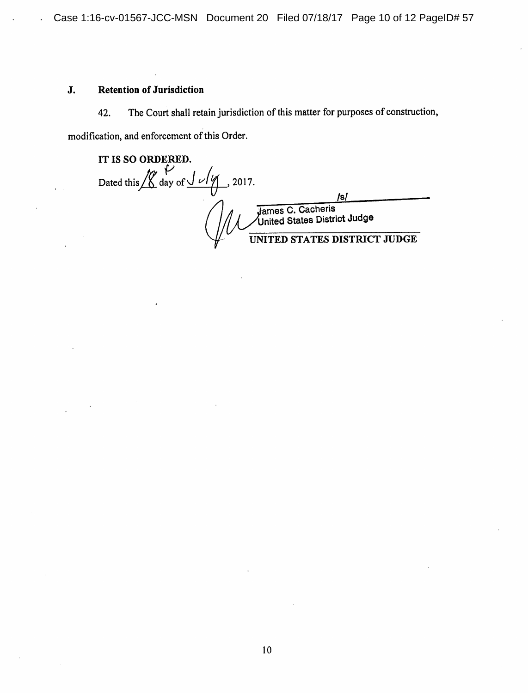### J. **Retention of Jurisdiction**

The Court shall retain jurisdiction of this matter for purposes of construction, 42.

modification, and enforcement of this Order.

IT IS SO ORDERED. Dated this  $\frac{V}{\text{day of}} \frac{V}{\sqrt{V}}$ , 2017. /s/ James C. Cacheris<br>United States District Judge **ES DISTRICT JUDGE UNI7**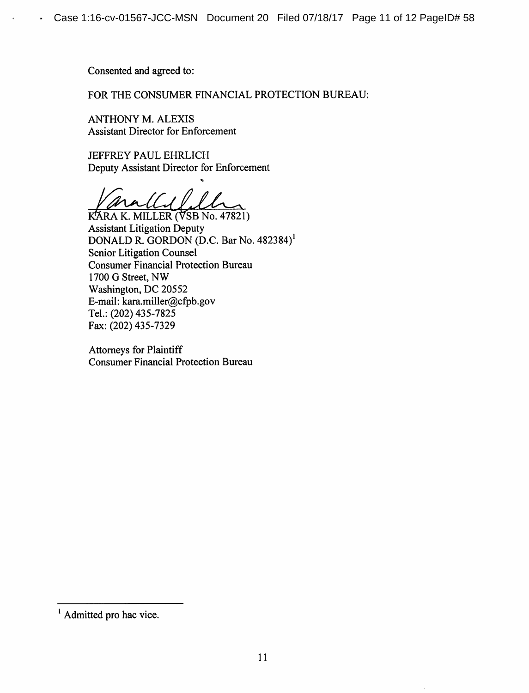Consented and agreed to:

FOR THE CONSUMER FINANCIAL PROTECTION BUREAU:

**ANTHONY M. ALEXIS Assistant Director for Enforcement** 

**JEFFREY PAUL EHRLICH** Deputy Assistant Director for Enforcement

KARA K. MILLER (VSB No. 47821) **Assistant Litigation Deputy** DONALD R. GORDON (D.C. Bar No. 482384)<sup>1</sup> Senior Litigation Counsel **Consumer Financial Protection Bureau** 1700 G Street, NW Washington, DC 20552 E-mail: kara.miller@cfpb.gov Tel.: (202) 435-7825 Fax: (202) 435-7329

**Attorneys for Plaintiff Consumer Financial Protection Bureau** 

<sup>&</sup>lt;sup>1</sup> Admitted pro hac vice.